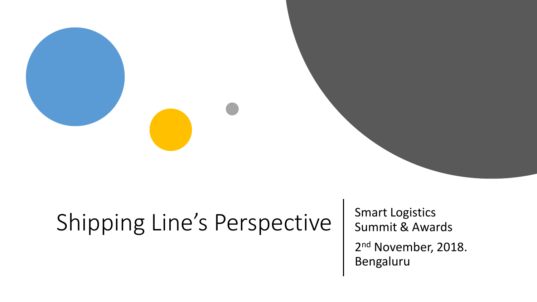## Shipping Line's Perspective | Smart Logistics

Summit & Awards 2<sup>nd</sup> November, 2018. Bengaluru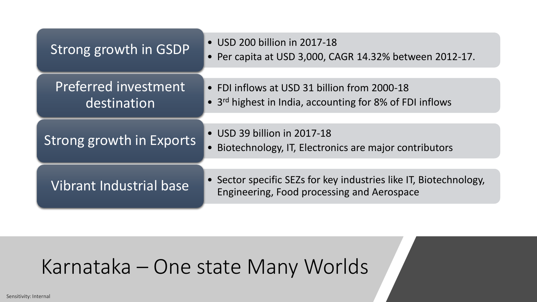| Strong growth in GSDP               | • USD 200 billion in 2017-18<br>• Per capita at USD 3,000, CAGR 14.32% between 2012-17.                              |
|-------------------------------------|----------------------------------------------------------------------------------------------------------------------|
| Preferred investment<br>destination | • FDI inflows at USD 31 billion from 2000-18<br>• 3 <sup>rd</sup> highest in India, accounting for 8% of FDI inflows |
| Strong growth in Exports            | • USD 39 billion in 2017-18<br>• Biotechnology, IT, Electronics are major contributors                               |
| <b>Vibrant Industrial base</b>      | • Sector specific SEZs for key industries like IT, Biotechnology,<br>Engineering, Food processing and Aerospace      |

#### Karnataka – One state Many Worlds

Sensitivity: Internal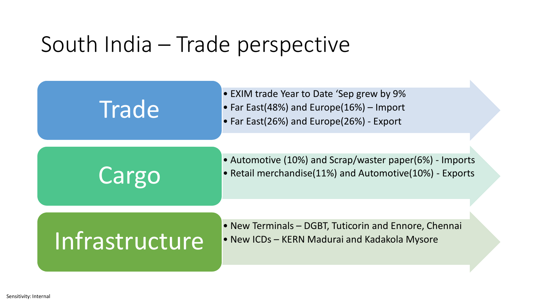### South India – Trade perspective

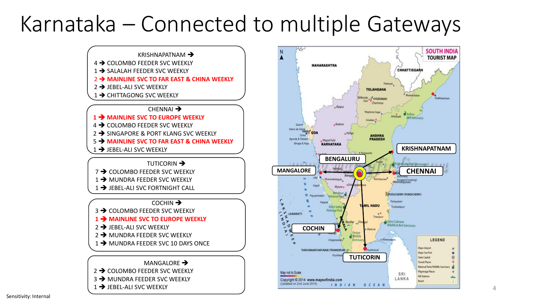### Karnataka – Connected to multiple Gateways



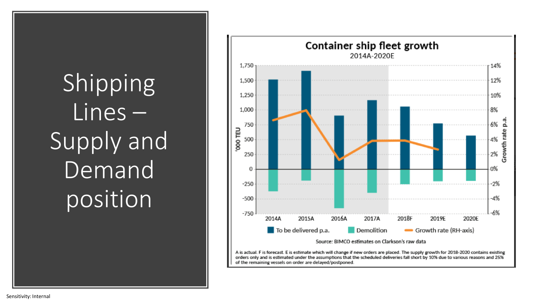## Shipping Lines – Supply and Demand position

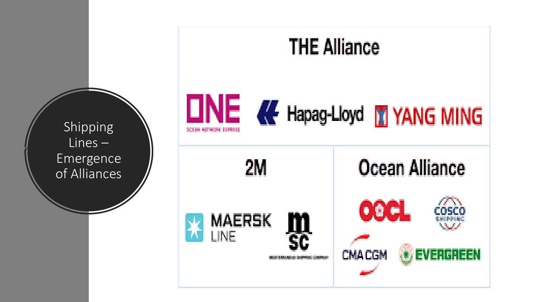**Shipping** Lines – Emergence of Alliances

# **THE Alliance ONE &** Hapag-Lloyd **M** YANG MING **DOMESTIC: DRIVE**

2M

m<br>sc

**MAERSK** 

LINE

Ocean Alliance

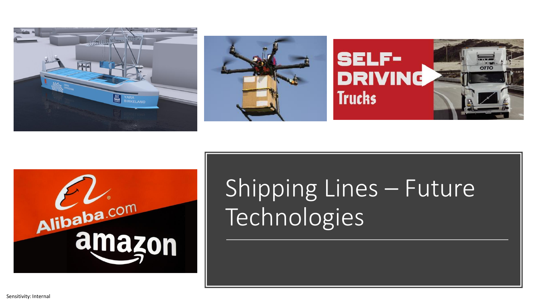







## Shipping Lines – Future Technologies